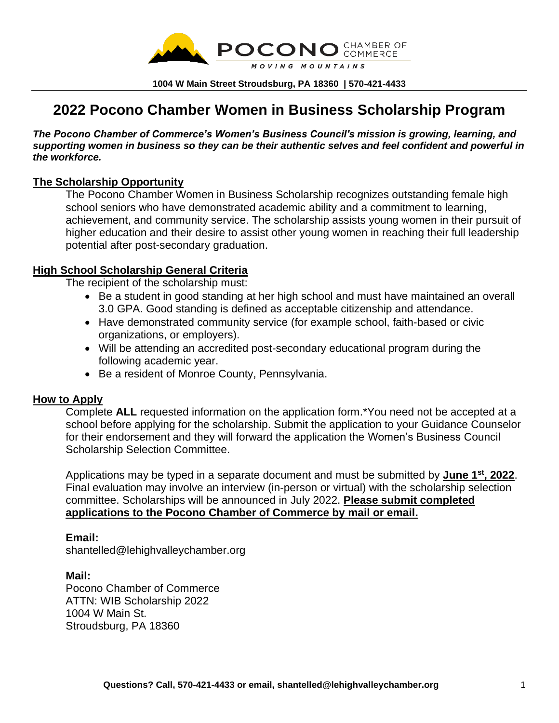

**1004 W Main Street Stroudsburg, PA 18360 | 570-421-4433**

# **2022 Pocono Chamber Women in Business Scholarship Program**

*The Pocono Chamber of Commerce's Women's Business Council's mission is growing, learning, and supporting women in business so they can be their authentic selves and feel confident and powerful in the workforce.*

#### **The Scholarship Opportunity**

The Pocono Chamber Women in Business Scholarship recognizes outstanding female high school seniors who have demonstrated academic ability and a commitment to learning, achievement, and community service. The scholarship assists young women in their pursuit of higher education and their desire to assist other young women in reaching their full leadership potential after post-secondary graduation.

#### **High School Scholarship General Criteria**

The recipient of the scholarship must:

- Be a student in good standing at her high school and must have maintained an overall 3.0 GPA. Good standing is defined as acceptable citizenship and attendance.
- Have demonstrated community service (for example school, faith-based or civic organizations, or employers).
- Will be attending an accredited post-secondary educational program during the following academic year.
- Be a resident of Monroe County, Pennsylvania.

#### **How to Apply**

Complete **ALL** requested information on the application form.\*You need not be accepted at a school before applying for the scholarship. Submit the application to your Guidance Counselor for their endorsement and they will forward the application the Women's Business Council Scholarship Selection Committee.

Applications may be typed in a separate document and must be submitted by **June 1 st, 2022**. Final evaluation may involve an interview (in-person or virtual) with the scholarship selection committee. Scholarships will be announced in July 2022. **Please submit completed applications to the Pocono Chamber of Commerce by mail or email.**

#### **Email:**

shantelled@lehighvalleychamber.org

#### **Mail:**

Pocono Chamber of Commerce ATTN: WIB Scholarship 2022 1004 W Main St. Stroudsburg, PA 18360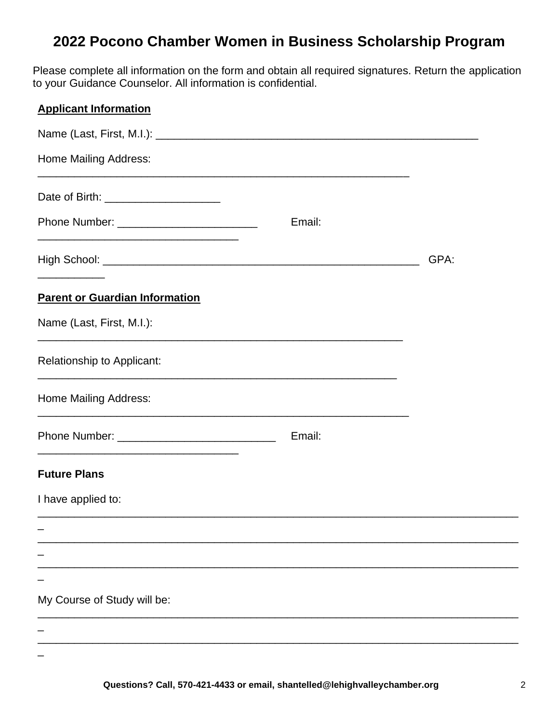# **2022 Pocono Chamber Women in Business Scholarship Program**

Please complete all information on the form and obtain all required signatures. Return the application to your Guidance Counselor. All information is confidential.

### **Applicant Information**

| <b>Home Mailing Address:</b>                                                              | <u> 1989 - Johann Stoff, amerikansk politiker (d. 1989)</u> |      |
|-------------------------------------------------------------------------------------------|-------------------------------------------------------------|------|
| Date of Birth: ________________________                                                   |                                                             |      |
| Phone Number: __________________________                                                  | Email:                                                      |      |
|                                                                                           |                                                             | GPA: |
| <b>Parent or Guardian Information</b>                                                     |                                                             |      |
| Name (Last, First, M.I.):                                                                 |                                                             |      |
| Relationship to Applicant:<br><u> 1989 - Johann Stoff, amerikansk politiker (d. 1989)</u> |                                                             |      |
| <b>Home Mailing Address:</b>                                                              |                                                             |      |
| <u> 1980 - Johann Stoff, amerikansk politiker (d. 1980)</u>                               | Email:                                                      |      |
| <b>Future Plans</b>                                                                       |                                                             |      |
| I have applied to:                                                                        |                                                             |      |
|                                                                                           |                                                             |      |
|                                                                                           |                                                             |      |
|                                                                                           |                                                             |      |
| My Course of Study will be:                                                               |                                                             |      |
|                                                                                           |                                                             |      |
|                                                                                           |                                                             |      |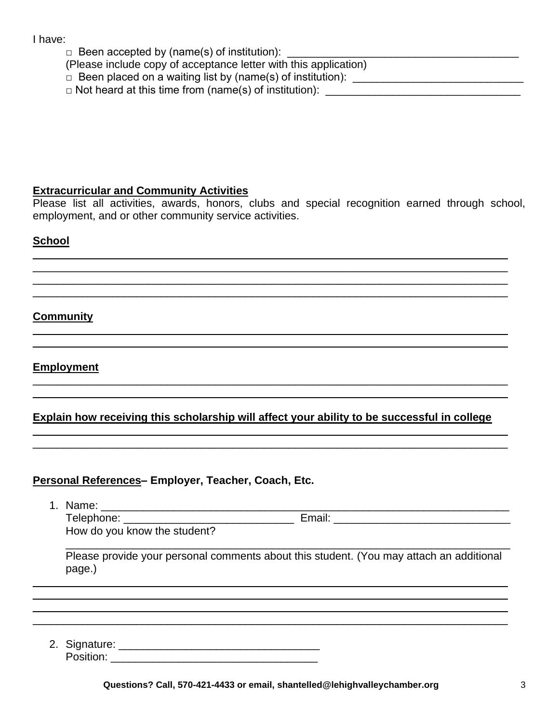#### I have:

- $\Box$  Been accepted by (name(s) of institution):
- (Please include copy of acceptance letter with this application)
- □ Been placed on a waiting list by (name(s) of institution): \_\_\_\_\_\_\_\_\_\_\_\_\_\_\_\_\_\_\_\_\_\_\_\_\_\_\_\_
- $\Box$  Not heard at this time from (name(s) of institution):  $\Box$

#### **Extracurricular and Community Activities**

Please list all activities, awards, honors, clubs and special recognition earned through school, employment, and or other community service activities.

 $\_$  , and the set of the set of the set of the set of the set of the set of the set of the set of the set of the set of the set of the set of the set of the set of the set of the set of the set of the set of the set of th  $\_$  , and the set of the set of the set of the set of the set of the set of the set of the set of the set of the set of the set of the set of the set of the set of the set of the set of the set of the set of the set of th \_\_\_\_\_\_\_\_\_\_\_\_\_\_\_\_\_\_\_\_\_\_\_\_\_\_\_\_\_\_\_\_\_\_\_\_\_\_\_\_\_\_\_\_\_\_\_\_\_\_\_\_\_\_\_\_\_\_\_\_\_\_\_\_\_\_\_\_\_\_\_\_\_\_\_\_\_\_  $\_$  , and the set of the set of the set of the set of the set of the set of the set of the set of the set of the set of the set of the set of the set of the set of the set of the set of the set of the set of the set of th

\_\_\_\_\_\_\_\_\_\_\_\_\_\_\_\_\_\_\_\_\_\_\_\_\_\_\_\_\_\_\_\_\_\_\_\_\_\_\_\_\_\_\_\_\_\_\_\_\_\_\_\_\_\_\_\_\_\_\_\_\_\_\_\_\_\_\_\_\_\_\_\_\_\_\_\_\_\_

 $\_$  , and the set of the set of the set of the set of the set of the set of the set of the set of the set of the set of the set of the set of the set of the set of the set of the set of the set of the set of the set of th  $\_$  , and the set of the set of the set of the set of the set of the set of the set of the set of the set of the set of the set of the set of the set of the set of the set of the set of the set of the set of the set of th

#### **School**

#### **Community**  $\_$  , and the set of the set of the set of the set of the set of the set of the set of the set of the set of the set of the set of the set of the set of the set of the set of the set of the set of the set of the set of th

#### **Employment**

## **Explain how receiving this scholarship will affect your ability to be successful in college**

 $\_$  , and the set of the set of the set of the set of the set of the set of the set of the set of the set of the set of the set of the set of the set of the set of the set of the set of the set of the set of the set of th  $\_$  , and the set of the set of the set of the set of the set of the set of the set of the set of the set of the set of the set of the set of the set of the set of the set of the set of the set of the set of the set of th

#### **Personal References– Employer, Teacher, Coach, Etc.**

1. Name: \_\_\_\_\_\_\_\_\_\_\_\_\_\_\_\_\_\_\_\_\_\_\_\_\_\_\_\_\_\_\_\_\_\_\_\_\_\_\_\_\_\_\_\_\_\_\_\_\_\_\_\_\_\_\_\_\_\_\_\_\_\_\_\_\_\_\_ Telephone: \_\_\_\_\_\_\_\_\_\_\_\_\_\_\_\_\_\_\_\_\_\_\_\_\_\_\_\_ Email: \_\_\_\_\_\_\_\_\_\_\_\_\_\_\_\_\_\_\_\_\_\_\_\_\_\_\_\_\_ How do you know the student? \_\_\_\_\_\_\_\_\_\_\_\_\_\_\_\_\_\_\_\_\_\_\_\_\_\_\_\_\_\_\_\_\_\_\_\_\_\_\_\_\_\_\_\_\_\_\_\_\_\_\_\_\_\_\_\_\_\_\_\_\_\_\_\_\_\_\_\_\_\_\_\_\_

Please provide your personal comments about this student. (You may attach an additional page.)

 $\_$  , and the set of the set of the set of the set of the set of the set of the set of the set of the set of the set of the set of the set of the set of the set of the set of the set of the set of the set of the set of th  $\_$  ,  $\_$  ,  $\_$  ,  $\_$  ,  $\_$  ,  $\_$  ,  $\_$  ,  $\_$  ,  $\_$  ,  $\_$  ,  $\_$  ,  $\_$  ,  $\_$  ,  $\_$  ,  $\_$  ,  $\_$  ,  $\_$  ,  $\_$  ,  $\_$  ,  $\_$  ,  $\_$  ,  $\_$  ,  $\_$  ,  $\_$  ,  $\_$  ,  $\_$  ,  $\_$  ,  $\_$  ,  $\_$  ,  $\_$  ,  $\_$  ,  $\_$  ,  $\_$  ,  $\_$  ,  $\_$  ,  $\_$  ,  $\_$  , \_\_\_\_\_\_\_\_\_\_\_\_\_\_\_\_\_\_\_\_\_\_\_\_\_\_\_\_\_\_\_\_\_\_\_\_\_\_\_\_\_\_\_\_\_\_\_\_\_\_\_\_\_\_\_\_\_\_\_\_\_\_\_\_\_\_\_\_\_\_\_\_\_\_\_\_\_\_  $\_$  , and the set of the set of the set of the set of the set of the set of the set of the set of the set of the set of the set of the set of the set of the set of the set of the set of the set of the set of the set of th

2. Signature: \_\_\_\_\_\_\_\_\_\_\_\_\_\_\_\_\_\_\_\_\_\_\_\_\_\_\_\_\_\_\_\_\_ Position: